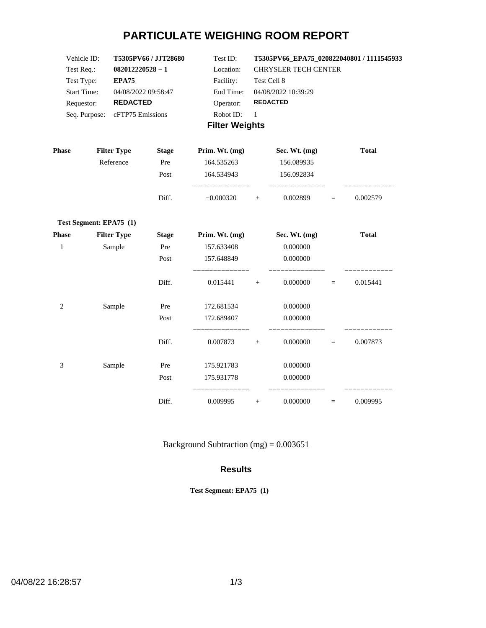# **PARTICULATE WEIGHING ROOM REPORT**

| Vehicle ID:        | <b>T5305PV66 / JJT28680</b>    | Test ID:  | T5305PV66 EPA75 020822040801/1111545933 |  |  |  |  |
|--------------------|--------------------------------|-----------|-----------------------------------------|--|--|--|--|
| Test Req.:         | $082012220528 - 1$             | Location: | <b>CHRYSLER TECH CENTER</b>             |  |  |  |  |
| Test Type:         | EPA75                          | Facility: | Test Cell 8                             |  |  |  |  |
| <b>Start Time:</b> | 04/08/2022 09:58:47            | End Time: | 04/08/2022 10:39:29                     |  |  |  |  |
| Requestor:         | <b>REDACTED</b>                | Operator: | <b>REDACTED</b>                         |  |  |  |  |
|                    | Seq. Purpose: cFTP75 Emissions | Robot ID: |                                         |  |  |  |  |
|                    |                                |           |                                         |  |  |  |  |

### **Filter Weights**

| <b>Phase</b>   | <b>Filter Type</b>      | <b>Stage</b> | Prim. Wt. (mg) |     | Sec. Wt. (mg) |          | <b>Total</b> |
|----------------|-------------------------|--------------|----------------|-----|---------------|----------|--------------|
|                | Reference               | Pre          | 164.535263     |     | 156.089935    |          |              |
|                |                         | Post         | 164.534943     |     | 156.092834    |          |              |
|                |                         | Diff.        | $-0.000320$    | $+$ | 0.002899      | $=$      | 0.002579     |
|                | Test Segment: EPA75 (1) |              |                |     |               |          |              |
| <b>Phase</b>   | <b>Filter Type</b>      | <b>Stage</b> | Prim. Wt. (mg) |     | Sec. Wt. (mg) |          | <b>Total</b> |
| $\mathbf{1}$   | Sample                  | Pre          | 157.633408     |     | 0.000000      |          |              |
|                |                         | Post         | 157.648849     |     | 0.000000      |          |              |
|                |                         | Diff.        | 0.015441       | $+$ | 0.000000      | $\equiv$ | 0.015441     |
| $\overline{2}$ | Sample                  | Pre          | 172.681534     |     | 0.000000      |          |              |
|                |                         | Post         | 172.689407     |     | 0.000000      |          |              |
|                |                         | Diff.        | 0.007873       | $+$ | 0.000000      | $\equiv$ | 0.007873     |
| 3              | Sample                  | Pre          | 175.921783     |     | 0.000000      |          |              |
|                |                         | Post         | 175.931778     |     | 0.000000      |          |              |
|                |                         | Diff.        | 0.009995       | $+$ | 0.000000      | $\equiv$ | 0.009995     |

Background Subtraction (mg) =  $0.003651$ 

#### **Results**

**Test Segment: EPA75 (1)**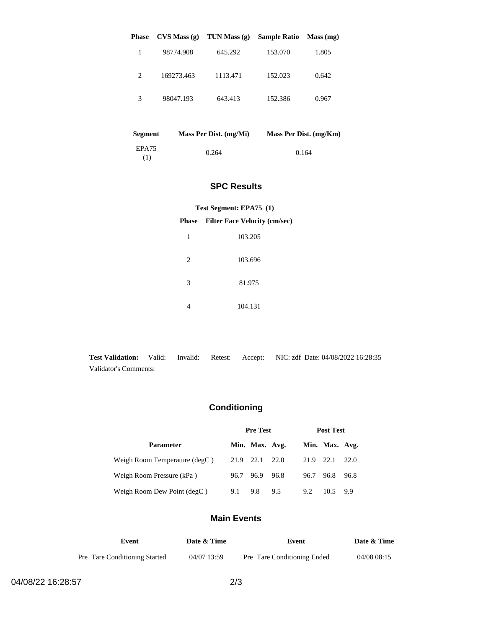| <b>Phase</b> | CVS Mass(g) | TUN Mass $(g)$ | <b>Sample Ratio</b> | Mass (mg) |
|--------------|-------------|----------------|---------------------|-----------|
|              | 98774.908   | 645.292        | 153.070             | 1.805     |
| 2            | 169273.463  | 1113.471       | 152.023             | 0.642     |
| 3            | 98047.193   | 643.413        | 152.386             | 0.967     |

| <b>Segment</b> | Mass Per Dist. (mg/Mi) | Mass Per Dist. (mg/Km) |
|----------------|------------------------|------------------------|
| EPA75<br>(1)   | 0.264                  | 0.164                  |

#### **SPC Results**

#### **Test Segment: EPA75 (1)**

#### **Phase Filter Face Velocity (cm/sec)**

| 1 | 103.205 |
|---|---------|
| 2 | 103.696 |
| 3 | 81.975  |
|   | 104.131 |

**Test Validation:** Valid: Invalid: Retest: Accept: NIC: zdf Date: 04/08/2022 16:28:35 Validator's Comments:

## **Conditioning**

|                               | <b>Pre Test</b> |                |      | <b>Post Test</b> |                |       |
|-------------------------------|-----------------|----------------|------|------------------|----------------|-------|
| <b>Parameter</b>              |                 | Min. Max. Avg. |      |                  | Min. Max. Avg. |       |
| Weigh Room Temperature (degC) |                 | 21.9 22.1 22.0 |      | 21.9 22.1        |                | 22.0  |
| Weigh Room Pressure (kPa)     | 96.7 96.9       |                | 96.8 | 96.7             | 96.8           | 96.8  |
| Weigh Room Dew Point (degC)   | 9.1             | 9.8            | 9.5  | 9.2              | 10.5           | - 9.9 |

#### **Main Events**

| Event                                | Date & Time | Event                       | Date & Time |
|--------------------------------------|-------------|-----------------------------|-------------|
| <b>Pre–Tare Conditioning Started</b> | 04/07 13:59 | Pre-Tare Conditioning Ended | 04/08 08:15 |